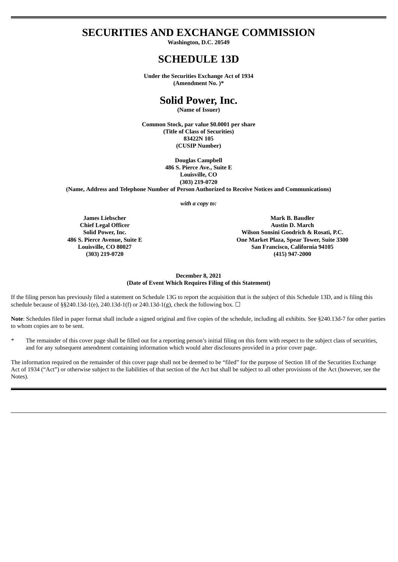# **SECURITIES AND EXCHANGE COMMISSION**

**Washington, D.C. 20549**

## **SCHEDULE 13D**

**Under the Securities Exchange Act of 1934 (Amendment No. )\***

# **Solid Power, Inc.**

**(Name of Issuer)**

**Common Stock, par value \$0.0001 per share (Title of Class of Securities) 83422N 105 (CUSIP Number)**

> **Douglas Campbell 486 S. Pierce Ave., Suite E Louisville, CO (303) 219-0720**

**(Name, Address and Telephone Number of Person Authorized to Receive Notices and Communications)**

*with a copy to:*

**James Liebscher Chief Legal Officer Solid Power, Inc. 486 S. Pierce Avenue, Suite E Louisville, CO 80027 (303) 219-0720**

**Mark B. Baudler Austin D. March Wilson Sonsini Goodrich & Rosati, P.C. One Market Plaza, Spear Tower, Suite 3300 San Francisco, California 94105 (415) 947-2000**

## **December 8, 2021 (Date of Event Which Requires Filing of this Statement)**

If the filing person has previously filed a statement on Schedule 13G to report the acquisition that is the subject of this Schedule 13D, and is filing this schedule because of §§240.13d-1(e), 240.13d-1(f) or 240.13d-1(g), check the following box.  $\Box$ 

**Note**: Schedules filed in paper format shall include a signed original and five copies of the schedule, including all exhibits. See §240.13d-7 for other parties to whom copies are to be sent.

The remainder of this cover page shall be filled out for a reporting person's initial filing on this form with respect to the subject class of securities, and for any subsequent amendment containing information which would alter disclosures provided in a prior cover page.

The information required on the remainder of this cover page shall not be deemed to be "filed" for the purpose of Section 18 of the Securities Exchange Act of 1934 ("Act") or otherwise subject to the liabilities of that section of the Act but shall be subject to all other provisions of the Act (however, see the Notes).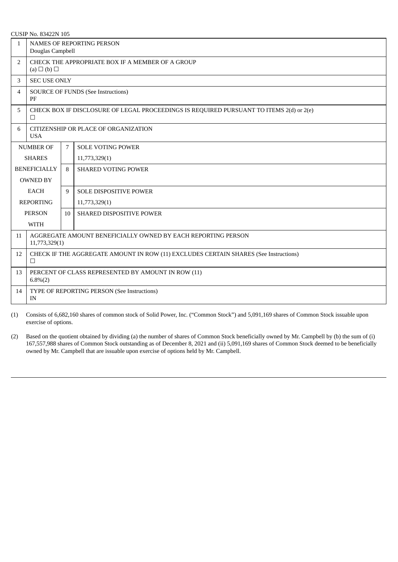|  | CUSIP No. 83422N 105 |  |
|--|----------------------|--|
|  |                      |  |

| $\mathbf{1}$     | <b>NAMES OF REPORTING PERSON</b><br>Douglas Campbell                                              |    |                            |  |  |
|------------------|---------------------------------------------------------------------------------------------------|----|----------------------------|--|--|
| 2                | CHECK THE APPROPRIATE BOX IF A MEMBER OF A GROUP<br>(a) $\Box$ (b) $\Box$                         |    |                            |  |  |
| 3                | <b>SEC USE ONLY</b>                                                                               |    |                            |  |  |
| 4                | <b>SOURCE OF FUNDS (See Instructions)</b><br>PF                                                   |    |                            |  |  |
| 5                | CHECK BOX IF DISCLOSURE OF LEGAL PROCEEDINGS IS REQUIRED PURSUANT TO ITEMS 2(d) or 2(e)<br>$\Box$ |    |                            |  |  |
| 6                | CITIZENSHIP OR PLACE OF ORGANIZATION<br><b>USA</b>                                                |    |                            |  |  |
|                  | <b>NUMBER OF</b>                                                                                  | 7  | <b>SOLE VOTING POWER</b>   |  |  |
|                  | <b>SHARES</b><br>11,773,329(1)                                                                    |    |                            |  |  |
|                  | <b>BENEFICIALLY</b>                                                                               | 8  | <b>SHARED VOTING POWER</b> |  |  |
|                  | <b>OWNED BY</b>                                                                                   |    |                            |  |  |
|                  | <b>EACH</b>                                                                                       | 9  | SOLE DISPOSITIVE POWER     |  |  |
| <b>REPORTING</b> |                                                                                                   |    | 11,773,329(1)              |  |  |
|                  | <b>PERSON</b>                                                                                     | 10 | SHARED DISPOSITIVE POWER   |  |  |
|                  | WITH                                                                                              |    |                            |  |  |
| 11               | AGGREGATE AMOUNT BENEFICIALLY OWNED BY EACH REPORTING PERSON<br>11,773,329(1)                     |    |                            |  |  |
| 12               | CHECK IF THE AGGREGATE AMOUNT IN ROW (11) EXCLUDES CERTAIN SHARES (See Instructions)<br>$\Box$    |    |                            |  |  |
| 13               | PERCENT OF CLASS REPRESENTED BY AMOUNT IN ROW (11)<br>$6.8\%(2)$                                  |    |                            |  |  |
| 14               | TYPE OF REPORTING PERSON (See Instructions)<br>IN                                                 |    |                            |  |  |

(1) Consists of 6,682,160 shares of common stock of Solid Power, Inc. ("Common Stock") and 5,091,169 shares of Common Stock issuable upon exercise of options.

(2) Based on the quotient obtained by dividing (a) the number of shares of Common Stock beneficially owned by Mr. Campbell by (b) the sum of (i) 167,557,988 shares of Common Stock outstanding as of December 8, 2021 and (ii) 5,091,169 shares of Common Stock deemed to be beneficially owned by Mr. Campbell that are issuable upon exercise of options held by Mr. Campbell.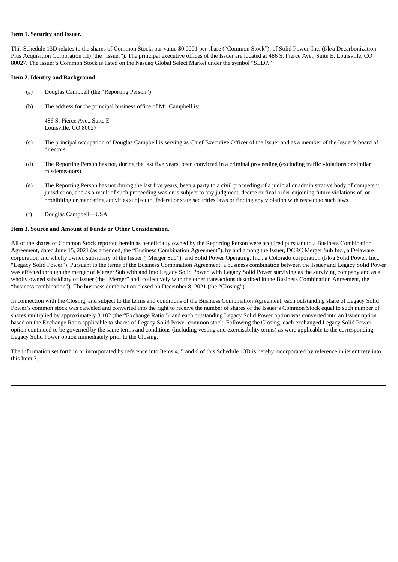## **Item 1. Security and Issuer.**

This Schedule 13D relates to the shares of Common Stock, par value \$0.0001 per share ("Common Stock"), of Solid Power, Inc. (f/k/a Decarbonization Plus Acquisition Corporation III) (the "Issuer"). The principal executive offices of the Issuer are located at 486 S. Pierce Ave., Suite E, Louisville, CO 80027. The Issuer's Common Stock is listed on the Nasdaq Global Select Market under the symbol "SLDP."

## **Item 2. Identity and Background.**

- (a) Douglas Campbell (the "Reporting Person")
- (b) The address for the principal business office of Mr. Campbell is:

486 S. Pierce Ave., Suite E Louisville, CO 80027

- (c) The principal occupation of Douglas Campbell is serving as Chief Executive Officer of the Issuer and as a member of the Issuer's board of directors.
- (d) The Reporting Person has not, during the last five years, been convicted in a criminal proceeding (excluding traffic violations or similar misdemeanors).
- (e) The Reporting Person has not during the last five years, been a party to a civil proceeding of a judicial or administrative body of competent jurisdiction, and as a result of such proceeding was or is subject to any judgment, decree or final order enjoining future violations of, or prohibiting or mandating activities subject to, federal or state securities laws or finding any violation with respect to such laws.
- (f) Douglas Campbell—USA

## **Item 3. Source and Amount of Funds or Other Consideration.**

All of the shares of Common Stock reported herein as beneficially owned by the Reporting Person were acquired pursuant to a Business Combination Agreement, dated June 15, 2021 (as amended, the "Business Combination Agreement"), by and among the Issuer, DCRC Merger Sub Inc., a Delaware corporation and wholly owned subsidiary of the Issuer ("Merger Sub"), and Solid Power Operating, Inc., a Colorado corporation (f/k/a Solid Power, Inc., "Legacy Solid Power"). Pursuant to the terms of the Business Combination Agreement, a business combination between the Issuer and Legacy Solid Power was effected through the merger of Merger Sub with and into Legacy Solid Power, with Legacy Solid Power surviving as the surviving company and as a wholly owned subsidiary of Issuer (the "Merger" and, collectively with the other transactions described in the Business Combination Agreement, the "business combination"). The business combination closed on December 8, 2021 (the "Closing").

In connection with the Closing, and subject to the terms and conditions of the Business Combination Agreement, each outstanding share of Legacy Solid Power's common stock was canceled and converted into the right to receive the number of shares of the Issuer's Common Stock equal to such number of shares multiplied by approximately 3.182 (the "Exchange Ratio"), and each outstanding Legacy Solid Power option was converted into an Issuer option based on the Exchange Ratio applicable to shares of Legacy Solid Power common stock. Following the Closing, each exchanged Legacy Solid Power option continued to be governed by the same terms and conditions (including vesting and exercisability terms) as were applicable to the corresponding Legacy Solid Power option immediately prior to the Closing.

The information set forth in or incorporated by reference into Items 4, 5 and 6 of this Schedule 13D is hereby incorporated by reference in its entirety into this Item 3.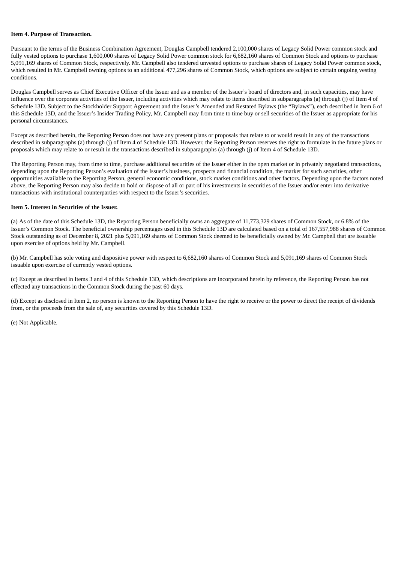#### **Item 4. Purpose of Transaction.**

Pursuant to the terms of the Business Combination Agreement, Douglas Campbell tendered 2,100,000 shares of Legacy Solid Power common stock and fully vested options to purchase 1,600,000 shares of Legacy Solid Power common stock for 6,682,160 shares of Common Stock and options to purchase 5,091,169 shares of Common Stock, respectively. Mr. Campbell also tendered unvested options to purchase shares of Legacy Solid Power common stock, which resulted in Mr. Campbell owning options to an additional 477,296 shares of Common Stock, which options are subject to certain ongoing vesting conditions.

Douglas Campbell serves as Chief Executive Officer of the Issuer and as a member of the Issuer's board of directors and, in such capacities, may have influence over the corporate activities of the Issuer, including activities which may relate to items described in subparagraphs (a) through (j) of Item 4 of Schedule 13D. Subject to the Stockholder Support Agreement and the Issuer's Amended and Restated Bylaws (the "Bylaws"), each described in Item 6 of this Schedule 13D, and the Issuer's Insider Trading Policy, Mr. Campbell may from time to time buy or sell securities of the Issuer as appropriate for his personal circumstances.

Except as described herein, the Reporting Person does not have any present plans or proposals that relate to or would result in any of the transactions described in subparagraphs (a) through (j) of Item 4 of Schedule 13D. However, the Reporting Person reserves the right to formulate in the future plans or proposals which may relate to or result in the transactions described in subparagraphs (a) through (j) of Item 4 of Schedule 13D.

The Reporting Person may, from time to time, purchase additional securities of the Issuer either in the open market or in privately negotiated transactions, depending upon the Reporting Person's evaluation of the Issuer's business, prospects and financial condition, the market for such securities, other opportunities available to the Reporting Person, general economic conditions, stock market conditions and other factors. Depending upon the factors noted above, the Reporting Person may also decide to hold or dispose of all or part of his investments in securities of the Issuer and/or enter into derivative transactions with institutional counterparties with respect to the Issuer's securities.

## **Item 5. Interest in Securities of the Issuer.**

(a) As of the date of this Schedule 13D, the Reporting Person beneficially owns an aggregate of 11,773,329 shares of Common Stock, or 6.8% of the Issuer's Common Stock. The beneficial ownership percentages used in this Schedule 13D are calculated based on a total of 167,557,988 shares of Common Stock outstanding as of December 8, 2021 plus 5,091,169 shares of Common Stock deemed to be beneficially owned by Mr. Campbell that are issuable upon exercise of options held by Mr. Campbell.

(b) Mr. Campbell has sole voting and dispositive power with respect to 6,682,160 shares of Common Stock and 5,091,169 shares of Common Stock issuable upon exercise of currently vested options.

(c) Except as described in Items 3 and 4 of this Schedule 13D, which descriptions are incorporated herein by reference, the Reporting Person has not effected any transactions in the Common Stock during the past 60 days.

(d) Except as disclosed in Item 2, no person is known to the Reporting Person to have the right to receive or the power to direct the receipt of dividends from, or the proceeds from the sale of, any securities covered by this Schedule 13D.

(e) Not Applicable.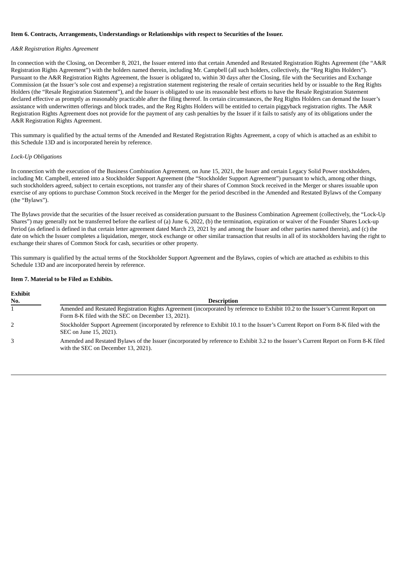#### **Item 6. Contracts, Arrangements, Understandings or Relationships with respect to Securities of the Issuer.**

## *A&R Registration Rights Agreement*

In connection with the Closing, on December 8, 2021, the Issuer entered into that certain Amended and Restated Registration Rights Agreement (the "A&R Registration Rights Agreement") with the holders named therein, including Mr. Campbell (all such holders, collectively, the "Reg Rights Holders"). Pursuant to the A&R Registration Rights Agreement, the Issuer is obligated to, within 30 days after the Closing, file with the Securities and Exchange Commission (at the Issuer's sole cost and expense) a registration statement registering the resale of certain securities held by or issuable to the Reg Rights Holders (the "Resale Registration Statement"), and the Issuer is obligated to use its reasonable best efforts to have the Resale Registration Statement declared effective as promptly as reasonably practicable after the filing thereof. In certain circumstances, the Reg Rights Holders can demand the Issuer's assistance with underwritten offerings and block trades, and the Reg Rights Holders will be entitled to certain piggyback registration rights. The A&R Registration Rights Agreement does not provide for the payment of any cash penalties by the Issuer if it fails to satisfy any of its obligations under the A&R Registration Rights Agreement.

This summary is qualified by the actual terms of the Amended and Restated Registration Rights Agreement, a copy of which is attached as an exhibit to this Schedule 13D and is incorporated herein by reference.

## *Lock-Up Obligations*

In connection with the execution of the Business Combination Agreement, on June 15, 2021, the Issuer and certain Legacy Solid Power stockholders, including Mr. Campbell, entered into a Stockholder Support Agreement (the "Stockholder Support Agreement") pursuant to which, among other things, such stockholders agreed, subject to certain exceptions, not transfer any of their shares of Common Stock received in the Merger or shares issuable upon exercise of any options to purchase Common Stock received in the Merger for the period described in the Amended and Restated Bylaws of the Company (the "Bylaws").

The Bylaws provide that the securities of the Issuer received as consideration pursuant to the Business Combination Agreement (collectively, the "Lock-Up Shares") may generally not be transferred before the earliest of (a) June 6, 2022, (b) the termination, expiration or waiver of the Founder Shares Lock-up Period (as defined is defined in that certain letter agreement dated March 23, 2021 by and among the Issuer and other parties named therein), and (c) the date on which the Issuer completes a liquidation, merger, stock exchange or other similar transaction that results in all of its stockholders having the right to exchange their shares of Common Stock for cash, securities or other property.

This summary is qualified by the actual terms of the Stockholder Support Agreement and the Bylaws, copies of which are attached as exhibits to this Schedule 13D and are incorporated herein by reference.

## **Item 7. Material to be Filed as Exhibits.**

| <b>Description</b>                                                                                                                                                                    |
|---------------------------------------------------------------------------------------------------------------------------------------------------------------------------------------|
| Amended and Restated Registration Rights Agreement (incorporated by reference to Exhibit 10.2 to the Issuer's Current Report on<br>Form 8-K filed with the SEC on December 13, 2021). |
| Stockholder Support Agreement (incorporated by reference to Exhibit 10.1 to the Issuer's Current Report on Form 8-K filed with the<br>SEC on June 15, 2021).                          |
| Amended and Restated Bylaws of the Issuer (incorporated by reference to Exhibit 3.2 to the Issuer's Current Report on Form 8-K filed<br>with the SEC on December 13, 2021).           |
|                                                                                                                                                                                       |